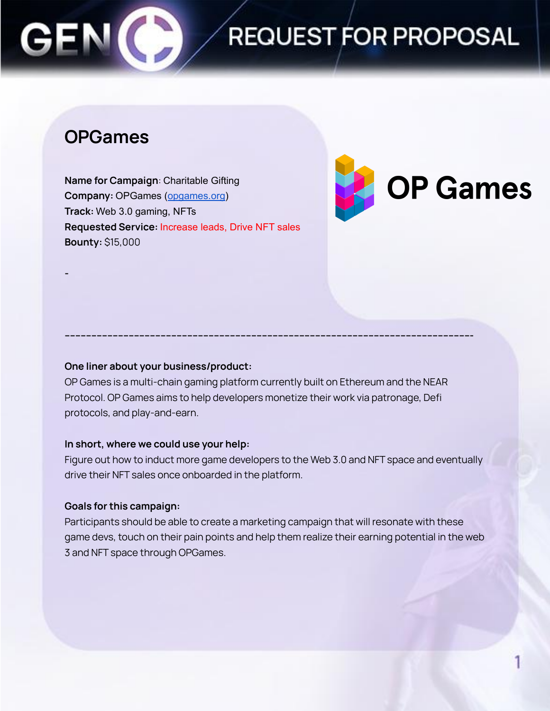# **REQUEST FOR PROPOSAL**

## **OPGames**

**-**

**Name for Campaign**: Charitable Gifting **Company:** OPGames ([opgames.org\)](http://opgames.org) **Track:** Web 3.0 gaming, NFTs **Requested Service:** Increase leads, Drive NFT sales **Bounty:** \$15,000



### **One liner about your business/product:**

OP Games is a multi-chain gaming platform currently built on Ethereum and the NEAR Protocol. OP Games aims to help developers monetize their work via patronage, Defi protocols, and play-and-earn.

**--------------------------------------------------------------------------------------------------------------------------------------------------------**

#### **In short, where we could use your help:**

Figure out how to induct more game developers to the Web 3.0 and NFT space and eventually drive their NFT sales once onboarded in the platform.

### **Goals for this campaign:**

Participants should be able to create a marketing campaign that will resonate with these game devs, touch on their pain points and help them realize their earning potential in the web 3 and NFT space through OPGames.